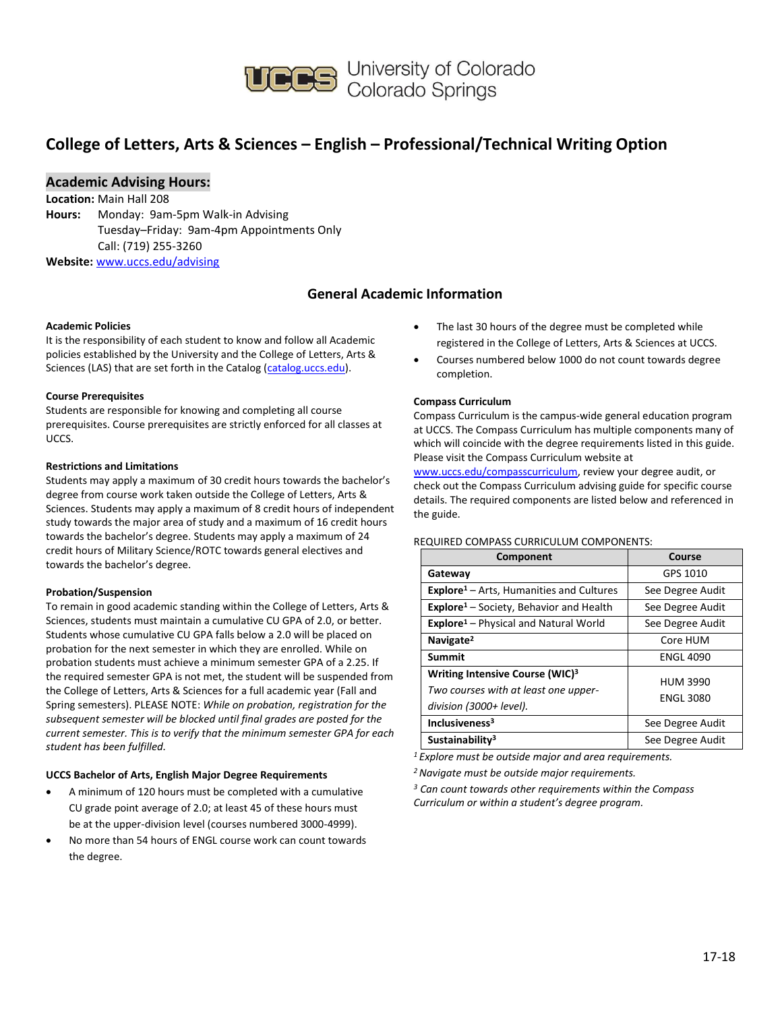

## **College of Letters, Arts & Sciences – English – Professional/Technical Writing Option**

## **Academic Advising Hours:**

**Location:** Main Hall 208 **Hours:** Monday: 9am-5pm Walk-in Advising Tuesday–Friday: 9am-4pm Appointments Only Call: (719) 255-3260 **Website:** [www.uccs.edu/advising](http://www.uccs.edu/advising)

## **General Academic Information**

#### **Academic Policies**

It is the responsibility of each student to know and follow all Academic policies established by the University and the College of Letters, Arts & Sciences (LAS) that are set forth in the Catalog [\(catalog.uccs.edu\)](http://catalog.uccs.edu/).

#### **Course Prerequisites**

Students are responsible for knowing and completing all course prerequisites. Course prerequisites are strictly enforced for all classes at UCCS.

#### **Restrictions and Limitations**

Students may apply a maximum of 30 credit hours towards the bachelor's degree from course work taken outside the College of Letters, Arts & Sciences. Students may apply a maximum of 8 credit hours of independent study towards the major area of study and a maximum of 16 credit hours towards the bachelor's degree. Students may apply a maximum of 24 credit hours of Military Science/ROTC towards general electives and towards the bachelor's degree.

#### **Probation/Suspension**

To remain in good academic standing within the College of Letters, Arts & Sciences, students must maintain a cumulative CU GPA of 2.0, or better. Students whose cumulative CU GPA falls below a 2.0 will be placed on probation for the next semester in which they are enrolled. While on probation students must achieve a minimum semester GPA of a 2.25. If the required semester GPA is not met, the student will be suspended from the College of Letters, Arts & Sciences for a full academic year (Fall and Spring semesters). PLEASE NOTE: *While on probation, registration for the subsequent semester will be blocked until final grades are posted for the current semester. This is to verify that the minimum semester GPA for each student has been fulfilled.*

#### **UCCS Bachelor of Arts, English Major Degree Requirements**

- A minimum of 120 hours must be completed with a cumulative CU grade point average of 2.0; at least 45 of these hours must be at the upper-division level (courses numbered 3000-4999).
- No more than 54 hours of ENGL course work can count towards the degree.
- The last 30 hours of the degree must be completed while registered in the College of Letters, Arts & Sciences at UCCS.
- Courses numbered below 1000 do not count towards degree completion.

#### **Compass Curriculum**

Compass Curriculum is the campus-wide general education program at UCCS. The Compass Curriculum has multiple components many of which will coincide with the degree requirements listed in this guide. Please visit the Compass Curriculum website at

[www.uccs.edu/compasscurriculum,](http://www.uccs.edu/compasscurriculum) review your degree audit, or check out the Compass Curriculum advising guide for specific course details. The required components are listed below and referenced in the guide.

#### REQUIRED COMPASS CURRICULUM COMPONENTS:

| Component                                                                                                      | Course                              |
|----------------------------------------------------------------------------------------------------------------|-------------------------------------|
| Gateway                                                                                                        | GPS 1010                            |
| Explore <sup>1</sup> - Arts, Humanities and Cultures                                                           | See Degree Audit                    |
| <b>Explore<sup>1</sup></b> – Society, Behavior and Health                                                      | See Degree Audit                    |
| <b>Explore</b> <sup>1</sup> – Physical and Natural World                                                       | See Degree Audit                    |
| Navigate <sup>2</sup>                                                                                          | Core HUM                            |
| Summit                                                                                                         | <b>ENGL 4090</b>                    |
| Writing Intensive Course (WIC) <sup>3</sup><br>Two courses with at least one upper-<br>division (3000+ level). | <b>HUM 3990</b><br><b>ENGL 3080</b> |
| Inclusiveness <sup>3</sup>                                                                                     | See Degree Audit                    |
| Sustainability <sup>3</sup>                                                                                    | See Degree Audit                    |

*<sup>1</sup>Explore must be outside major and area requirements.*

*<sup>2</sup>Navigate must be outside major requirements.*

*<sup>3</sup> Can count towards other requirements within the Compass Curriculum or within a student's degree program.*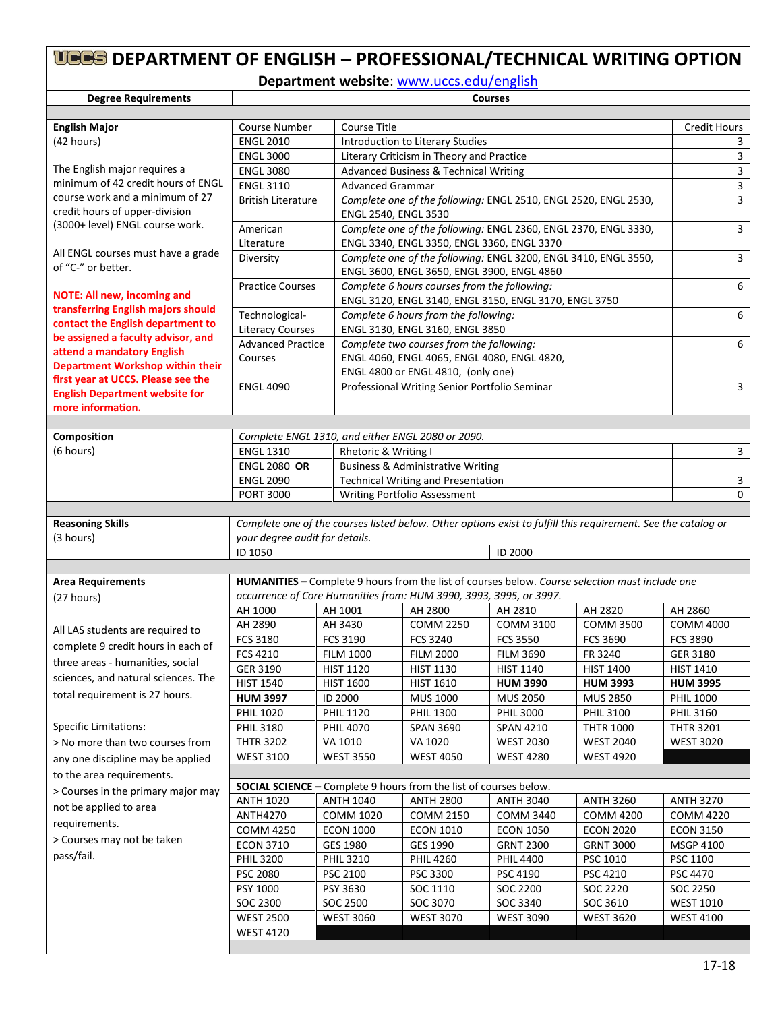# **DEPARTMENT OF ENGLISH – PROFESSIONAL/TECHNICAL WRITING OPTION**

**Department website**: [www.uccs.edu/english](http://www.uccs.edu/english)

| <b>Degree Requirements</b>                                        | <b>Courses</b>                                                                                                                                  |                                                                                                       |                                                                                                               |                                      |                  |                  |  |  |  |  |
|-------------------------------------------------------------------|-------------------------------------------------------------------------------------------------------------------------------------------------|-------------------------------------------------------------------------------------------------------|---------------------------------------------------------------------------------------------------------------|--------------------------------------|------------------|------------------|--|--|--|--|
|                                                                   |                                                                                                                                                 |                                                                                                       |                                                                                                               |                                      |                  |                  |  |  |  |  |
| <b>English Major</b>                                              | <b>Course Number</b>                                                                                                                            | <b>Course Title</b>                                                                                   | <b>Credit Hours</b>                                                                                           |                                      |                  |                  |  |  |  |  |
| (42 hours)                                                        | <b>ENGL 2010</b>                                                                                                                                |                                                                                                       | Introduction to Literary Studies                                                                              |                                      |                  |                  |  |  |  |  |
|                                                                   | <b>ENGL 3000</b>                                                                                                                                |                                                                                                       | Literary Criticism in Theory and Practice                                                                     |                                      |                  |                  |  |  |  |  |
| The English major requires a                                      | <b>ENGL 3080</b>                                                                                                                                |                                                                                                       | Advanced Business & Technical Writing                                                                         |                                      |                  |                  |  |  |  |  |
| minimum of 42 credit hours of ENGL                                | <b>ENGL 3110</b>                                                                                                                                |                                                                                                       | <b>Advanced Grammar</b>                                                                                       |                                      |                  |                  |  |  |  |  |
| course work and a minimum of 27<br>credit hours of upper-division | <b>British Literature</b>                                                                                                                       |                                                                                                       | Complete one of the following: ENGL 2510, ENGL 2520, ENGL 2530,<br>ENGL 2540, ENGL 3530                       |                                      |                  |                  |  |  |  |  |
| (3000+ level) ENGL course work.                                   | American                                                                                                                                        |                                                                                                       | Complete one of the following: ENGL 2360, ENGL 2370, ENGL 3330,                                               |                                      |                  |                  |  |  |  |  |
| All ENGL courses must have a grade                                | Literature                                                                                                                                      |                                                                                                       | ENGL 3340, ENGL 3350, ENGL 3360, ENGL 3370<br>Complete one of the following: ENGL 3200, ENGL 3410, ENGL 3550, |                                      |                  |                  |  |  |  |  |
| of "C-" or better.                                                | Diversity                                                                                                                                       | ENGL 3600, ENGL 3650, ENGL 3900, ENGL 4860                                                            | $\overline{3}$                                                                                                |                                      |                  |                  |  |  |  |  |
| <b>NOTE: All new, incoming and</b>                                | <b>Practice Courses</b>                                                                                                                         | Complete 6 hours courses from the following:<br>ENGL 3120, ENGL 3140, ENGL 3150, ENGL 3170, ENGL 3750 |                                                                                                               |                                      |                  |                  |  |  |  |  |
| transferring English majors should                                | Technological-                                                                                                                                  |                                                                                                       | Complete 6 hours from the following:                                                                          |                                      |                  | 6                |  |  |  |  |
| contact the English department to                                 | <b>Literacy Courses</b>                                                                                                                         |                                                                                                       | ENGL 3130, ENGL 3160, ENGL 3850                                                                               |                                      |                  |                  |  |  |  |  |
| be assigned a faculty advisor, and                                | <b>Advanced Practice</b>                                                                                                                        |                                                                                                       | Complete two courses from the following:                                                                      |                                      |                  | 6                |  |  |  |  |
| attend a mandatory English                                        | Courses                                                                                                                                         |                                                                                                       | ENGL 4060, ENGL 4065, ENGL 4080, ENGL 4820,                                                                   |                                      |                  |                  |  |  |  |  |
| Department Workshop within their                                  |                                                                                                                                                 |                                                                                                       | ENGL 4800 or ENGL 4810, (only one)                                                                            |                                      |                  |                  |  |  |  |  |
| first year at UCCS. Please see the                                | <b>ENGL 4090</b>                                                                                                                                |                                                                                                       | Professional Writing Senior Portfolio Seminar                                                                 |                                      |                  | 3                |  |  |  |  |
| <b>English Department website for</b>                             |                                                                                                                                                 |                                                                                                       |                                                                                                               |                                      |                  |                  |  |  |  |  |
| more information.                                                 |                                                                                                                                                 |                                                                                                       |                                                                                                               |                                      |                  |                  |  |  |  |  |
|                                                                   |                                                                                                                                                 |                                                                                                       |                                                                                                               |                                      |                  |                  |  |  |  |  |
| Composition                                                       |                                                                                                                                                 | Complete ENGL 1310, and either ENGL 2080 or 2090.                                                     |                                                                                                               |                                      |                  |                  |  |  |  |  |
| (6 hours)                                                         | <b>ENGL 1310</b>                                                                                                                                | Rhetoric & Writing I                                                                                  |                                                                                                               |                                      |                  | 3                |  |  |  |  |
|                                                                   | <b>ENGL 2080 OR</b>                                                                                                                             |                                                                                                       | <b>Business &amp; Administrative Writing</b>                                                                  |                                      |                  |                  |  |  |  |  |
|                                                                   | <b>ENGL 2090</b>                                                                                                                                |                                                                                                       | <b>Technical Writing and Presentation</b>                                                                     |                                      |                  | 3                |  |  |  |  |
|                                                                   | <b>PORT 3000</b>                                                                                                                                |                                                                                                       | Writing Portfolio Assessment                                                                                  |                                      |                  | $\Omega$         |  |  |  |  |
|                                                                   |                                                                                                                                                 |                                                                                                       |                                                                                                               |                                      |                  |                  |  |  |  |  |
| <b>Reasoning Skills</b><br>(3 hours)                              | Complete one of the courses listed below. Other options exist to fulfill this requirement. See the catalog or<br>your degree audit for details. |                                                                                                       |                                                                                                               |                                      |                  |                  |  |  |  |  |
|                                                                   | ID 1050                                                                                                                                         | ID 2000                                                                                               |                                                                                                               |                                      |                  |                  |  |  |  |  |
|                                                                   |                                                                                                                                                 |                                                                                                       |                                                                                                               |                                      |                  |                  |  |  |  |  |
| <b>Area Requirements</b>                                          | HUMANITIES - Complete 9 hours from the list of courses below. Course selection must include one                                                 |                                                                                                       |                                                                                                               |                                      |                  |                  |  |  |  |  |
| (27 hours)                                                        |                                                                                                                                                 |                                                                                                       | occurrence of Core Humanities from: HUM 3990, 3993, 3995, or 3997.                                            |                                      |                  |                  |  |  |  |  |
|                                                                   | AH 1000                                                                                                                                         | AH 1001                                                                                               | AH 2800                                                                                                       | AH 2810                              | AH 2820          | AH 2860          |  |  |  |  |
|                                                                   | AH 2890                                                                                                                                         | AH 3430                                                                                               | <b>COMM 2250</b>                                                                                              | <b>COMM 3100</b>                     | <b>COMM 3500</b> | <b>COMM 4000</b> |  |  |  |  |
| All LAS students are required to                                  | FCS 3180                                                                                                                                        | FCS 3190                                                                                              | FCS 3240                                                                                                      | <b>FCS 3550</b>                      | <b>FCS 3690</b>  | FCS 3890         |  |  |  |  |
| complete 9 credit hours in each of                                | FCS 4210                                                                                                                                        | <b>FILM 1000</b>                                                                                      | <b>FILM 2000</b>                                                                                              | <b>FILM 3690</b>                     | FR 3240          | GER 3180         |  |  |  |  |
| three areas - humanities, social                                  | GER 3190                                                                                                                                        | <b>HIST 1120</b>                                                                                      | <b>HIST 1130</b>                                                                                              | <b>HIST 1140</b>                     | <b>HIST 1400</b> | <b>HIST 1410</b> |  |  |  |  |
| sciences, and natural sciences. The                               | <b>HIST 1540</b>                                                                                                                                | <b>HIST 1600</b>                                                                                      | <b>HIST 1610</b>                                                                                              | <b>HUM 3990</b>                      | <b>HUM 3993</b>  | <b>HUM 3995</b>  |  |  |  |  |
| total requirement is 27 hours.                                    | <b>HUM 3997</b>                                                                                                                                 | ID 2000                                                                                               | <b>MUS 1000</b>                                                                                               | <b>MUS 2050</b>                      | <b>MUS 2850</b>  | <b>PHIL 1000</b> |  |  |  |  |
|                                                                   | <b>PHIL 1020</b>                                                                                                                                | <b>PHIL 1120</b>                                                                                      | <b>PHIL 1300</b>                                                                                              | <b>PHIL 3000</b>                     | <b>PHIL 3100</b> | <b>PHIL 3160</b> |  |  |  |  |
| <b>Specific Limitations:</b>                                      | <b>PHIL 3180</b>                                                                                                                                | <b>PHIL 4070</b>                                                                                      | <b>SPAN 3690</b>                                                                                              | <b>SPAN 4210</b>                     | <b>THTR 1000</b> | <b>THTR 3201</b> |  |  |  |  |
| > No more than two courses from                                   | <b>THTR 3202</b>                                                                                                                                | VA 1010                                                                                               | VA 1020                                                                                                       | <b>WEST 2030</b>                     | <b>WEST 2040</b> | <b>WEST 3020</b> |  |  |  |  |
| any one discipline may be applied                                 | <b>WEST 3100</b>                                                                                                                                | <b>WEST 3550</b>                                                                                      | <b>WEST 4050</b>                                                                                              | <b>WEST 4280</b>                     | <b>WEST 4920</b> |                  |  |  |  |  |
|                                                                   |                                                                                                                                                 |                                                                                                       |                                                                                                               |                                      |                  |                  |  |  |  |  |
| to the area requirements.                                         |                                                                                                                                                 |                                                                                                       | <b>SOCIAL SCIENCE - Complete 9 hours from the list of courses below.</b>                                      |                                      |                  |                  |  |  |  |  |
| > Courses in the primary major may                                | <b>ANTH 1020</b><br><b>ANTH 1040</b><br><b>ANTH 2800</b><br><b>ANTH 3040</b><br><b>ANTH 3260</b><br><b>ANTH 3270</b>                            |                                                                                                       |                                                                                                               |                                      |                  |                  |  |  |  |  |
| not be applied to area                                            | <b>ANTH4270</b><br>COMM 1020<br><b>COMM 2150</b><br><b>COMM 3440</b><br><b>COMM 4200</b>                                                        |                                                                                                       |                                                                                                               |                                      |                  |                  |  |  |  |  |
| requirements.                                                     | <b>COMM 4250</b>                                                                                                                                | <b>ECON 1000</b>                                                                                      | <b>COMM 4220</b><br><b>ECON 3150</b>                                                                          |                                      |                  |                  |  |  |  |  |
| > Courses may not be taken                                        | <b>ECON 2020</b><br><b>GRNT 3000</b>                                                                                                            | <b>MSGP 4100</b>                                                                                      |                                                                                                               |                                      |                  |                  |  |  |  |  |
| pass/fail.                                                        | <b>ECON 3710</b><br><b>PHIL 3200</b>                                                                                                            | GES 1980<br><b>PHIL 3210</b>                                                                          | GES 1990<br><b>PHIL 4260</b>                                                                                  | <b>GRNT 2300</b><br><b>PHIL 4400</b> | PSC 1010         | PSC 1100         |  |  |  |  |
|                                                                   | <b>PSC 2080</b>                                                                                                                                 | PSC 2100                                                                                              | PSC 3300                                                                                                      | PSC 4190                             | PSC 4210         | PSC 4470         |  |  |  |  |
|                                                                   | PSY 1000                                                                                                                                        | PSY 3630                                                                                              | SOC 1110                                                                                                      | SOC 2200                             | SOC 2220         | SOC 2250         |  |  |  |  |
|                                                                   | SOC 2300                                                                                                                                        | SOC 2500                                                                                              | SOC 3070                                                                                                      | SOC 3340                             | SOC 3610         | <b>WEST 1010</b> |  |  |  |  |
|                                                                   | <b>WEST 2500</b>                                                                                                                                | <b>WEST 3060</b>                                                                                      | <b>WEST 3070</b>                                                                                              | <b>WEST 3090</b>                     | <b>WEST 3620</b> | <b>WEST 4100</b> |  |  |  |  |
|                                                                   | <b>WEST 4120</b>                                                                                                                                |                                                                                                       |                                                                                                               |                                      |                  |                  |  |  |  |  |
|                                                                   |                                                                                                                                                 |                                                                                                       |                                                                                                               |                                      |                  |                  |  |  |  |  |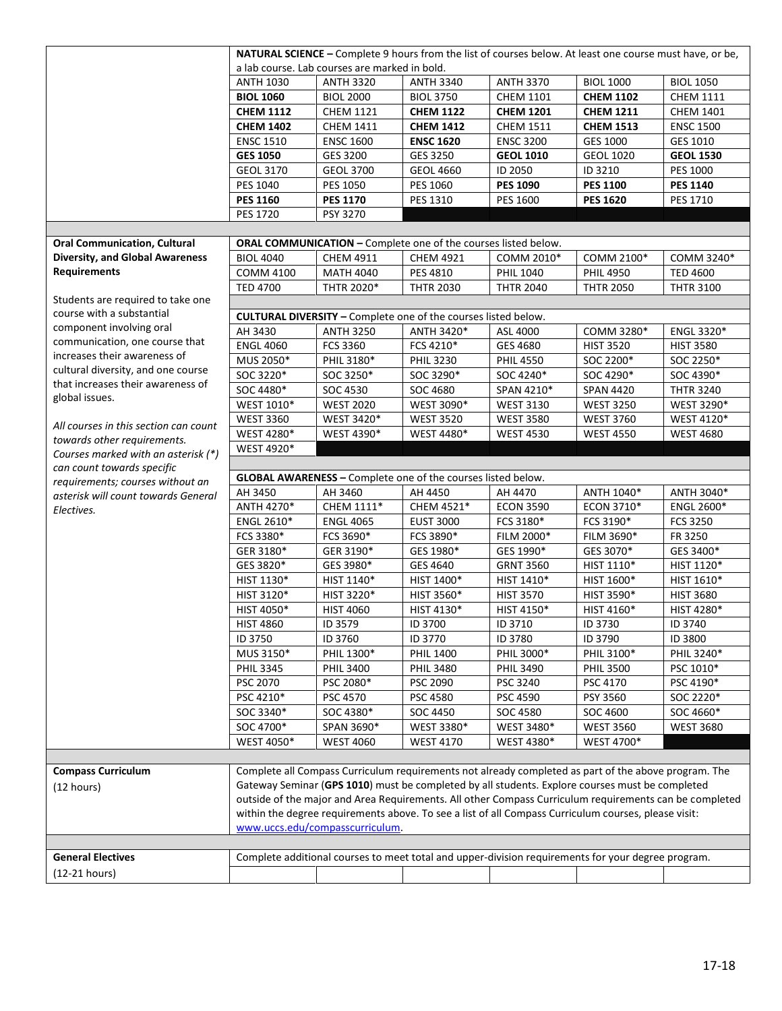|                                        |                   |                                                                       |                  | NATURAL SCIENCE - Complete 9 hours from the list of courses below. At least one course must have, or be, |                  |                   |
|----------------------------------------|-------------------|-----------------------------------------------------------------------|------------------|----------------------------------------------------------------------------------------------------------|------------------|-------------------|
|                                        |                   | a lab course. Lab courses are marked in bold.                         |                  |                                                                                                          |                  |                   |
|                                        | <b>ANTH 1030</b>  | <b>ANTH 3320</b>                                                      | <b>ANTH 3340</b> | <b>ANTH 3370</b>                                                                                         | <b>BIOL 1000</b> | <b>BIOL 1050</b>  |
|                                        | <b>BIOL 1060</b>  | <b>BIOL 2000</b>                                                      | <b>BIOL 3750</b> | <b>CHEM 1101</b>                                                                                         | <b>CHEM 1102</b> | <b>CHEM 1111</b>  |
|                                        | <b>CHEM 1112</b>  | <b>CHEM 1121</b>                                                      | <b>CHEM 1122</b> | <b>CHEM 1201</b>                                                                                         | <b>CHEM 1211</b> | <b>CHEM 1401</b>  |
|                                        | <b>CHEM 1402</b>  | <b>CHEM 1411</b>                                                      | <b>CHEM 1412</b> | <b>CHEM 1511</b>                                                                                         | <b>CHEM 1513</b> | <b>ENSC 1500</b>  |
|                                        | <b>ENSC 1510</b>  | <b>ENSC 1600</b>                                                      | <b>ENSC 1620</b> | <b>ENSC 3200</b>                                                                                         | GES 1000         | GES 1010          |
|                                        | <b>GES 1050</b>   | GES 3200                                                              | GES 3250         | <b>GEOL 1010</b>                                                                                         | <b>GEOL 1020</b> | <b>GEOL 1530</b>  |
|                                        | <b>GEOL 3170</b>  | <b>GEOL 3700</b>                                                      | <b>GEOL 4660</b> | ID 2050                                                                                                  | ID 3210          | <b>PES 1000</b>   |
|                                        | PES 1040          | PES 1050                                                              | PES 1060         | <b>PES 1090</b>                                                                                          | <b>PES 1100</b>  | <b>PES 1140</b>   |
|                                        | <b>PES 1160</b>   | <b>PES 1170</b>                                                       | PES 1310         | PES 1600                                                                                                 | <b>PES 1620</b>  | PES 1710          |
|                                        | PES 1720          | PSY 3270                                                              |                  |                                                                                                          |                  |                   |
|                                        |                   |                                                                       |                  |                                                                                                          |                  |                   |
| <b>Oral Communication, Cultural</b>    |                   | ORAL COMMUNICATION - Complete one of the courses listed below.        |                  |                                                                                                          |                  |                   |
| <b>Diversity, and Global Awareness</b> | <b>BIOL 4040</b>  | <b>CHEM 4911</b>                                                      | <b>CHEM 4921</b> | COMM 2010*                                                                                               | COMM 2100*       | COMM 3240*        |
| <b>Requirements</b>                    | <b>COMM 4100</b>  | <b>MATH 4040</b>                                                      | PES 4810         | PHIL 1040                                                                                                | <b>PHIL 4950</b> | <b>TED 4600</b>   |
|                                        | <b>TED 4700</b>   | THTR 2020*                                                            | <b>THTR 2030</b> | <b>THTR 2040</b>                                                                                         | <b>THTR 2050</b> | <b>THTR 3100</b>  |
| Students are required to take one      |                   |                                                                       |                  |                                                                                                          |                  |                   |
| course with a substantial              |                   | <b>CULTURAL DIVERSITY - Complete one of the courses listed below.</b> |                  |                                                                                                          |                  |                   |
| component involving oral               | AH 3430           | <b>ANTH 3250</b>                                                      | ANTH 3420*       | ASL 4000                                                                                                 | COMM 3280*       | ENGL 3320*        |
| communication, one course that         | <b>ENGL 4060</b>  | FCS 3360                                                              | FCS 4210*        | GES 4680                                                                                                 | <b>HIST 3520</b> | <b>HIST 3580</b>  |
| increases their awareness of           | MUS 2050*         | PHIL 3180*                                                            | <b>PHIL 3230</b> | <b>PHIL 4550</b>                                                                                         | SOC 2200*        | SOC 2250*         |
| cultural diversity, and one course     | SOC 3220*         | SOC 3250*                                                             | SOC 3290*        | SOC 4240*                                                                                                | SOC 4290*        | SOC 4390*         |
| that increases their awareness of      | SOC 4480*         | SOC 4530                                                              | SOC 4680         | SPAN 4210*                                                                                               | <b>SPAN 4420</b> | <b>THTR 3240</b>  |
| global issues.                         | WEST 1010*        | <b>WEST 2020</b>                                                      | WEST 3090*       | <b>WEST 3130</b>                                                                                         | <b>WEST 3250</b> | WEST 3290*        |
| All courses in this section can count  | <b>WEST 3360</b>  | WEST 3420*                                                            | <b>WEST 3520</b> | <b>WEST 3580</b>                                                                                         | <b>WEST 3760</b> | WEST 4120*        |
| towards other requirements.            | WEST 4280*        | WEST 4390*                                                            | WEST 4480*       | <b>WEST 4530</b>                                                                                         | <b>WEST 4550</b> | <b>WEST 4680</b>  |
| Courses marked with an asterisk (*)    | WEST 4920*        |                                                                       |                  |                                                                                                          |                  |                   |
| can count towards specific             |                   |                                                                       |                  |                                                                                                          |                  |                   |
| requirements; courses without an       |                   | GLOBAL AWARENESS - Complete one of the courses listed below.          |                  |                                                                                                          |                  |                   |
| asterisk will count towards General    | AH 3450           | AH 3460                                                               | AH 4450          | AH 4470                                                                                                  | ANTH 1040*       | ANTH 3040*        |
| Electives.                             | ANTH 4270*        | CHEM 1111*                                                            | CHEM 4521*       | <b>ECON 3590</b>                                                                                         | ECON 3710*       | <b>ENGL 2600*</b> |
|                                        | <b>ENGL 2610*</b> | <b>ENGL 4065</b>                                                      | <b>EUST 3000</b> | FCS 3180*                                                                                                | FCS 3190*        | <b>FCS 3250</b>   |
|                                        | FCS 3380*         | FCS 3690*                                                             | FCS 3890*        | FILM 2000*                                                                                               | FILM 3690*       | FR 3250           |
|                                        | GER 3180*         | GER 3190*                                                             | GES 1980*        | GES 1990*                                                                                                | GES 3070*        | GES 3400*         |
|                                        | GES 3820*         | GES 3980*                                                             | GES 4640         | <b>GRNT 3560</b>                                                                                         | HIST 1110*       | HIST 1120*        |
|                                        | HIST 1130*        | HIST 1140*                                                            | HIST 1400*       | HIST 1410*                                                                                               | HIST 1600*       | HIST 1610*        |
|                                        | HIST 3120*        | HIST 3220*                                                            | HIST 3560*       | <b>HIST 3570</b>                                                                                         | HIST 3590*       | <b>HIST 3680</b>  |
|                                        | HIST 4050*        | <b>HIST 4060</b>                                                      | HIST 4130*       | HIST 4150*                                                                                               | HIST 4160*       | HIST 4280*        |
|                                        | <b>HIST 4860</b>  | ID 3579                                                               | ID 3700          | ID 3710                                                                                                  | ID 3730          | ID 3740           |
|                                        | ID 3750           | ID 3760                                                               | ID 3770          | ID 3780                                                                                                  | ID 3790          | ID 3800           |
|                                        | MUS 3150*         | PHIL 1300*                                                            | <b>PHIL 1400</b> | PHIL 3000*                                                                                               | PHIL 3100*       | PHIL 3240*        |
|                                        | <b>PHIL 3345</b>  | <b>PHIL 3400</b>                                                      | <b>PHIL 3480</b> | <b>PHIL 3490</b>                                                                                         | <b>PHIL 3500</b> | PSC 1010*         |
|                                        | PSC 2070          | PSC 2080*                                                             | PSC 2090         | PSC 3240                                                                                                 | PSC 4170         | PSC 4190*         |
|                                        | PSC 4210*         | <b>PSC 4570</b>                                                       | PSC 4580         | PSC 4590                                                                                                 | PSY 3560         | SOC 2220*         |
|                                        | SOC 3340*         | SOC 4380*                                                             | SOC 4450         | SOC 4580                                                                                                 | SOC 4600         | SOC 4660*         |
|                                        | SOC 4700*         | SPAN 3690*                                                            | WEST 3380*       | WEST 3480*                                                                                               | <b>WEST 3560</b> | <b>WEST 3680</b>  |
|                                        | WEST 4050*        | <b>WEST 4060</b>                                                      | <b>WEST 4170</b> | WEST 4380*                                                                                               | WEST 4700*       |                   |
|                                        |                   |                                                                       |                  |                                                                                                          |                  |                   |
| <b>Compass Curriculum</b>              |                   |                                                                       |                  | Complete all Compass Curriculum requirements not already completed as part of the above program. The     |                  |                   |
| (12 hours)                             |                   |                                                                       |                  | Gateway Seminar (GPS 1010) must be completed by all students. Explore courses must be completed          |                  |                   |
|                                        |                   |                                                                       |                  | outside of the major and Area Requirements. All other Compass Curriculum requirements can be completed   |                  |                   |
|                                        |                   |                                                                       |                  | within the degree requirements above. To see a list of all Compass Curriculum courses, please visit:     |                  |                   |
|                                        |                   | www.uccs.edu/compasscurriculum.                                       |                  |                                                                                                          |                  |                   |
|                                        |                   |                                                                       |                  |                                                                                                          |                  |                   |
| <b>General Electives</b>               |                   |                                                                       |                  | Complete additional courses to meet total and upper-division requirements for your degree program.       |                  |                   |
| (12-21 hours)                          |                   |                                                                       |                  |                                                                                                          |                  |                   |